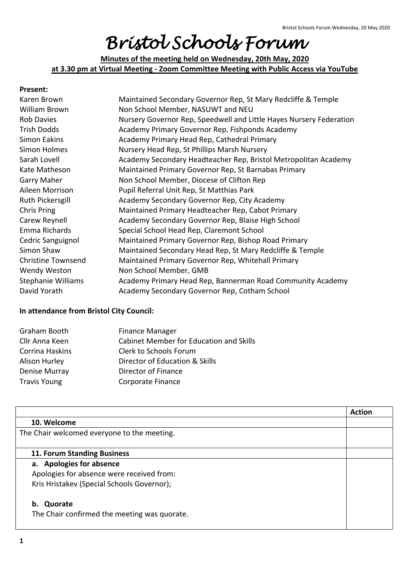# *Bristol Schools Forum*

**Minutes of the meeting held on Wednesday, 20th May, 2020 at 3.30 pm at Virtual Meeting - Zoom Committee Meeting with Public Access via YouTube**

#### **Present:**

| Karen Brown               | Maintained Secondary Governor Rep, St Mary Redcliffe & Temple       |
|---------------------------|---------------------------------------------------------------------|
|                           |                                                                     |
| William Brown             | Non School Member, NASUWT and NEU                                   |
| <b>Rob Davies</b>         | Nursery Governor Rep, Speedwell and Little Hayes Nursery Federation |
| <b>Trish Dodds</b>        | Academy Primary Governor Rep, Fishponds Academy                     |
| Simon Eakins              | Academy Primary Head Rep, Cathedral Primary                         |
| Simon Holmes              | Nursery Head Rep, St Phillips Marsh Nursery                         |
| Sarah Lovell              | Academy Secondary Headteacher Rep, Bristol Metropolitan Academy     |
| Kate Matheson             | Maintained Primary Governor Rep, St Barnabas Primary                |
| <b>Garry Maher</b>        | Non School Member, Diocese of Clifton Rep                           |
| Aileen Morrison           | Pupil Referral Unit Rep, St Matthias Park                           |
| Ruth Pickersgill          | Academy Secondary Governor Rep, City Academy                        |
| Chris Pring               | Maintained Primary Headteacher Rep, Cabot Primary                   |
| Carew Reynell             | Academy Secondary Governor Rep, Blaise High School                  |
| Emma Richards             | Special School Head Rep, Claremont School                           |
| Cedric Sanguignol         | Maintained Primary Governor Rep, Bishop Road Primary                |
| Simon Shaw                | Maintained Secondary Head Rep, St Mary Redcliffe & Temple           |
| <b>Christine Townsend</b> | Maintained Primary Governor Rep, Whitehall Primary                  |
| Wendy Weston              | Non School Member, GMB                                              |
| <b>Stephanie Williams</b> | Academy Primary Head Rep, Bannerman Road Community Academy          |
| David Yorath              | Academy Secondary Governor Rep, Cotham School                       |

#### **In attendance from Bristol City Council:**

| <b>Finance Manager</b>                         |
|------------------------------------------------|
| <b>Cabinet Member for Education and Skills</b> |
| Clerk to Schools Forum                         |
| Director of Education & Skills                 |
| Director of Finance                            |
| Corporate Finance                              |
|                                                |

|                                              | <b>Action</b> |
|----------------------------------------------|---------------|
| 10. Welcome                                  |               |
| The Chair welcomed everyone to the meeting.  |               |
|                                              |               |
| 11. Forum Standing Business                  |               |
| a. Apologies for absence                     |               |
| Apologies for absence were received from:    |               |
| Kris Hristakev (Special Schools Governor);   |               |
| Quorate<br>b.                                |               |
| The Chair confirmed the meeting was quorate. |               |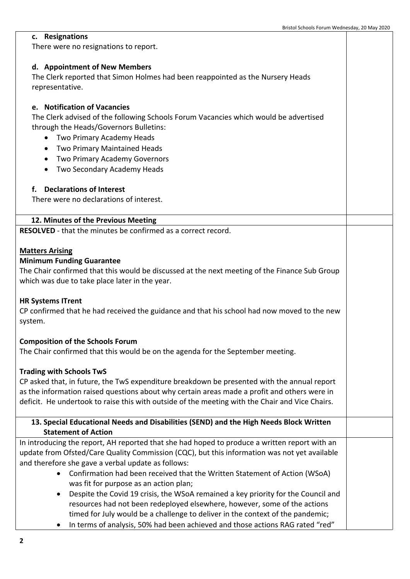### **c. Resignations**

There were no resignations to report.

# **d. Appointment of New Members**

The Clerk reported that Simon Holmes had been reappointed as the Nursery Heads representative.

# **e. Notification of Vacancies**

The Clerk advised of the following Schools Forum Vacancies which would be advertised through the Heads/Governors Bulletins:

- Two Primary Academy Heads
- Two Primary Maintained Heads
- Two Primary Academy Governors
- Two Secondary Academy Heads

# **f. Declarations of Interest**

There were no declarations of interest.

# **12. Minutes of the Previous Meeting**

**RESOLVED** - that the minutes be confirmed as a correct record.

### **Matters Arising**

### **Minimum Funding Guarantee**

The Chair confirmed that this would be discussed at the next meeting of the Finance Sub Group which was due to take place later in the year.

### **HR Systems ITrent**

CP confirmed that he had received the guidance and that his school had now moved to the new system.

# **Composition of the Schools Forum**

The Chair confirmed that this would be on the agenda for the September meeting.

### **Trading with Schools TwS**

CP asked that, in future, the TwS expenditure breakdown be presented with the annual report as the information raised questions about why certain areas made a profit and others were in deficit. He undertook to raise this with outside of the meeting with the Chair and Vice Chairs.

# **13. Special Educational Needs and Disabilities (SEND) and the High Needs Block Written Statement of Action**

In introducing the report, AH reported that she had hoped to produce a written report with an update from Ofsted/Care Quality Commission (CQC), but this information was not yet available and therefore she gave a verbal update as follows:

- Confirmation had been received that the Written Statement of Action (WSoA) was fit for purpose as an action plan;
- Despite the Covid 19 crisis, the WSoA remained a key priority for the Council and resources had not been redeployed elsewhere, however, some of the actions timed for July would be a challenge to deliver in the context of the pandemic;
- In terms of analysis, 50% had been achieved and those actions RAG rated "red"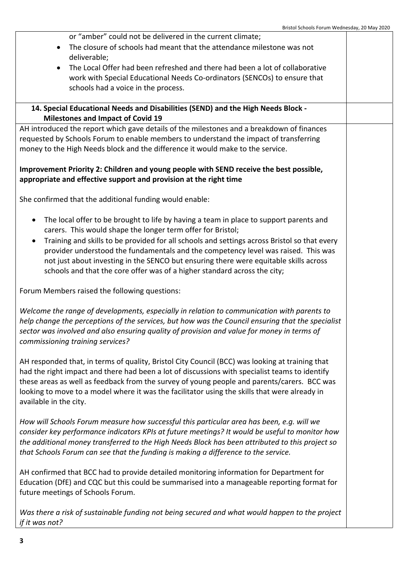| or "amber" could not be delivered in the current climate;                                                                    |  |  |
|------------------------------------------------------------------------------------------------------------------------------|--|--|
| The closure of schools had meant that the attendance milestone was not                                                       |  |  |
| deliverable;                                                                                                                 |  |  |
| The Local Offer had been refreshed and there had been a lot of collaborative<br>$\bullet$                                    |  |  |
| work with Special Educational Needs Co-ordinators (SENCOs) to ensure that                                                    |  |  |
| schools had a voice in the process.                                                                                          |  |  |
|                                                                                                                              |  |  |
| 14. Special Educational Needs and Disabilities (SEND) and the High Needs Block -<br><b>Milestones and Impact of Covid 19</b> |  |  |
| AH introduced the report which gave details of the milestones and a breakdown of finances                                    |  |  |
| requested by Schools Forum to enable members to understand the impact of transferring                                        |  |  |
| money to the High Needs block and the difference it would make to the service.                                               |  |  |
|                                                                                                                              |  |  |
| Improvement Priority 2: Children and young people with SEND receive the best possible,                                       |  |  |
| appropriate and effective support and provision at the right time                                                            |  |  |
|                                                                                                                              |  |  |
| She confirmed that the additional funding would enable:                                                                      |  |  |
| The local offer to be brought to life by having a team in place to support parents and<br>$\bullet$                          |  |  |
| carers. This would shape the longer term offer for Bristol;                                                                  |  |  |
| Training and skills to be provided for all schools and settings across Bristol so that every<br>$\bullet$                    |  |  |
| provider understood the fundamentals and the competency level was raised. This was                                           |  |  |
| not just about investing in the SENCO but ensuring there were equitable skills across                                        |  |  |
| schools and that the core offer was of a higher standard across the city;                                                    |  |  |
| Forum Members raised the following questions:                                                                                |  |  |
| Welcome the range of developments, especially in relation to communication with parents to                                   |  |  |
| help change the perceptions of the services, but how was the Council ensuring that the specialist                            |  |  |
| sector was involved and also ensuring quality of provision and value for money in terms of                                   |  |  |
| commissioning training services?                                                                                             |  |  |
|                                                                                                                              |  |  |
| AH responded that, in terms of quality, Bristol City Council (BCC) was looking at training that                              |  |  |
| had the right impact and there had been a lot of discussions with specialist teams to identify                               |  |  |
| these areas as well as feedback from the survey of young people and parents/carers. BCC was                                  |  |  |
| looking to move to a model where it was the facilitator using the skills that were already in                                |  |  |
| available in the city.                                                                                                       |  |  |
|                                                                                                                              |  |  |
| How will Schools Forum measure how successful this particular area has been, e.g. will we                                    |  |  |
| consider key performance indicators KPIs at future meetings? It would be useful to monitor how                               |  |  |
| the additional money transferred to the High Needs Block has been attributed to this project so                              |  |  |
| that Schools Forum can see that the funding is making a difference to the service.                                           |  |  |
|                                                                                                                              |  |  |
| AH confirmed that BCC had to provide detailed monitoring information for Department for                                      |  |  |
| Education (DfE) and CQC but this could be summarised into a manageable reporting format for                                  |  |  |
| future meetings of Schools Forum.                                                                                            |  |  |
|                                                                                                                              |  |  |
| Was there a risk of sustainable funding not being secured and what would happen to the project                               |  |  |
| if it was not?                                                                                                               |  |  |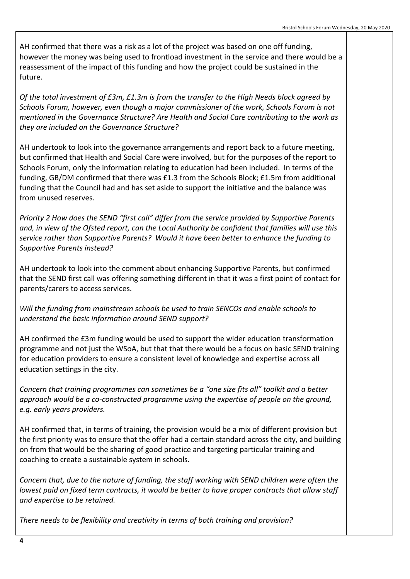AH confirmed that there was a risk as a lot of the project was based on one off funding, however the money was being used to frontload investment in the service and there would be a reassessment of the impact of this funding and how the project could be sustained in the future.

*Of the total investment of £3m, £1.3m is from the transfer to the High Needs block agreed by Schools Forum, however, even though a major commissioner of the work, Schools Forum is not mentioned in the Governance Structure? Are Health and Social Care contributing to the work as they are included on the Governance Structure?*

AH undertook to look into the governance arrangements and report back to a future meeting, but confirmed that Health and Social Care were involved, but for the purposes of the report to Schools Forum, only the information relating to education had been included. In terms of the funding, GB/DM confirmed that there was £1.3 from the Schools Block; £1.5m from additional funding that the Council had and has set aside to support the initiative and the balance was from unused reserves.

*Priority 2 How does the SEND "first call" differ from the service provided by Supportive Parents* and, in view of the Ofsted report, can the Local Authority be confident that families will use this *service rather than Supportive Parents? Would it have been better to enhance the funding to Supportive Parents instead?*

AH undertook to look into the comment about enhancing Supportive Parents, but confirmed that the SEND first call was offering something different in that it was a first point of contact for parents/carers to access services.

*Will the funding from mainstream schools be used to train SENCOs and enable schools to understand the basic information around SEND support?*

AH confirmed the £3m funding would be used to support the wider education transformation programme and not just the WSoA, but that that there would be a focus on basic SEND training for education providers to ensure a consistent level of knowledge and expertise across all education settings in the city.

*Concern that training programmes can sometimes be a "one size fits all" toolkit and a better approach would be a co-constructed programme using the expertise of people on the ground, e.g. early years providers.* 

AH confirmed that, in terms of training, the provision would be a mix of different provision but the first priority was to ensure that the offer had a certain standard across the city, and building on from that would be the sharing of good practice and targeting particular training and coaching to create a sustainable system in schools.

*Concern that, due to the nature of funding, the staff working with SEND children were often the lowest paid on fixed term contracts, it would be better to have proper contracts that allow staff and expertise to be retained.*

*There needs to be flexibility and creativity in terms of both training and provision?*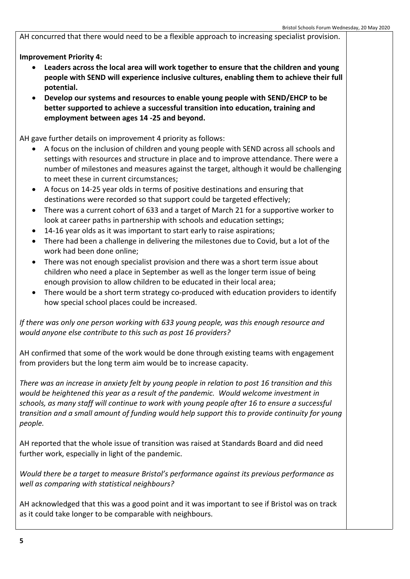AH concurred that there would need to be a flexible approach to increasing specialist provision.

**Improvement Priority 4:**

- **Leaders across the local area will work together to ensure that the children and young people with SEND will experience inclusive cultures, enabling them to achieve their full potential.**
- **Develop our systems and resources to enable young people with SEND/EHCP to be better supported to achieve a successful transition into education, training and employment between ages 14 -25 and beyond.**

AH gave further details on improvement 4 priority as follows:

- A focus on the inclusion of children and young people with SEND across all schools and settings with resources and structure in place and to improve attendance. There were a number of milestones and measures against the target, although it would be challenging to meet these in current circumstances;
- A focus on 14-25 year olds in terms of positive destinations and ensuring that destinations were recorded so that support could be targeted effectively;
- There was a current cohort of 633 and a target of March 21 for a supportive worker to look at career paths in partnership with schools and education settings;
- 14-16 year olds as it was important to start early to raise aspirations;
- There had been a challenge in delivering the milestones due to Covid, but a lot of the work had been done online;
- There was not enough specialist provision and there was a short term issue about children who need a place in September as well as the longer term issue of being enough provision to allow children to be educated in their local area;
- There would be a short term strategy co-produced with education providers to identify how special school places could be increased.

*If there was only one person working with 633 young people, was this enough resource and would anyone else contribute to this such as post 16 providers?*

AH confirmed that some of the work would be done through existing teams with engagement from providers but the long term aim would be to increase capacity.

*There was an increase in anxiety felt by young people in relation to post 16 transition and this would be heightened this year as a result of the pandemic. Would welcome investment in schools, as many staff will continue to work with young people after 16 to ensure a successful transition and a small amount of funding would help support this to provide continuity for young people.*

AH reported that the whole issue of transition was raised at Standards Board and did need further work, especially in light of the pandemic.

*Would there be a target to measure Bristol's performance against its previous performance as well as comparing with statistical neighbours?*

AH acknowledged that this was a good point and it was important to see if Bristol was on track as it could take longer to be comparable with neighbours.